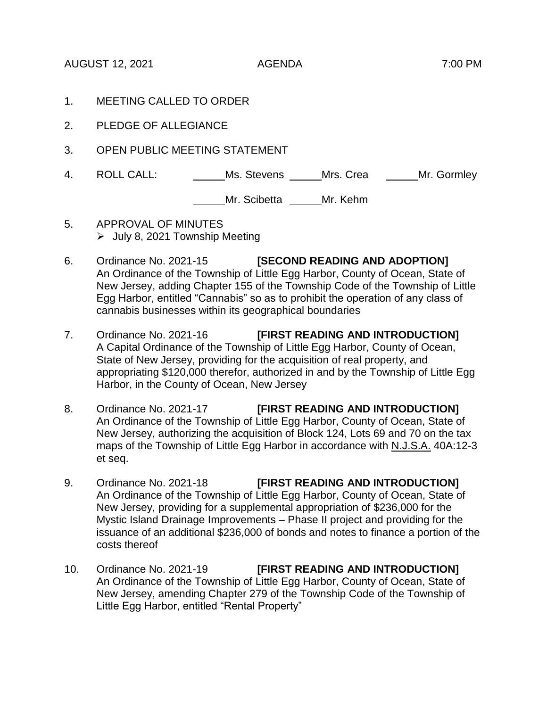AUGUST 12, 2021 AGENDA 7:00 PM

- 1. MEETING CALLED TO ORDER
- 2. PLEDGE OF ALLEGIANCE
- 3. OPEN PUBLIC MEETING STATEMENT
- 4. ROLL CALL: Ms. Stevens Mrs. Crea Mr. Gormley

## Mr. Scibetta \_\_\_\_\_Mr. Kehm

- 5. APPROVAL OF MINUTES  $\geq$  July 8, 2021 Township Meeting
- 6. Ordinance No. 2021-15 **[SECOND READING AND ADOPTION]** An Ordinance of the Township of Little Egg Harbor, County of Ocean, State of New Jersey, adding Chapter 155 of the Township Code of the Township of Little Egg Harbor, entitled "Cannabis" so as to prohibit the operation of any class of cannabis businesses within its geographical boundaries
- 7. Ordinance No. 2021-16 **[FIRST READING AND INTRODUCTION]** A Capital Ordinance of the Township of Little Egg Harbor, County of Ocean, State of New Jersey, providing for the acquisition of real property, and appropriating \$120,000 therefor, authorized in and by the Township of Little Egg Harbor, in the County of Ocean, New Jersey
- 8. Ordinance No. 2021-17 **[FIRST READING AND INTRODUCTION]** An Ordinance of the Township of Little Egg Harbor, County of Ocean, State of New Jersey, authorizing the acquisition of Block 124, Lots 69 and 70 on the tax maps of the Township of Little Egg Harbor in accordance with N.J.S.A. 40A:12-3 et seq.
- 9. Ordinance No. 2021-18 **[FIRST READING AND INTRODUCTION]** An Ordinance of the Township of Little Egg Harbor, County of Ocean, State of New Jersey, providing for a supplemental appropriation of \$236,000 for the Mystic Island Drainage Improvements – Phase II project and providing for the issuance of an additional \$236,000 of bonds and notes to finance a portion of the costs thereof
- 10. Ordinance No. 2021-19 **[FIRST READING AND INTRODUCTION]** An Ordinance of the Township of Little Egg Harbor, County of Ocean, State of New Jersey, amending Chapter 279 of the Township Code of the Township of Little Egg Harbor, entitled "Rental Property"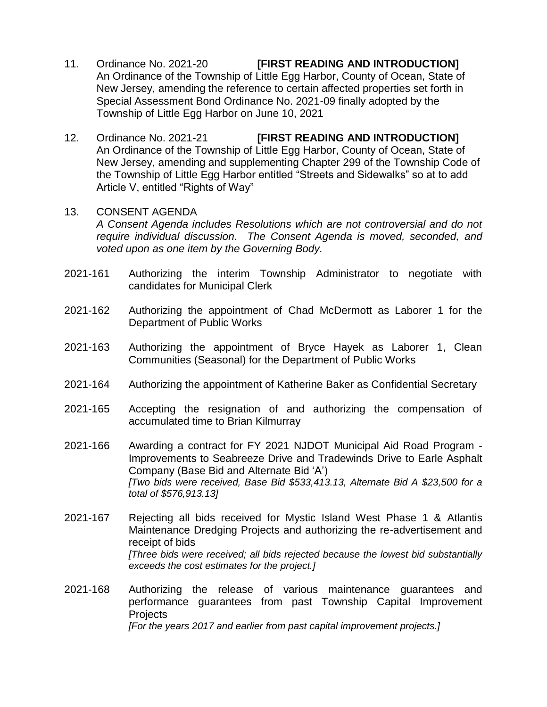- 11. Ordinance No. 2021-20 **[FIRST READING AND INTRODUCTION]** An Ordinance of the Township of Little Egg Harbor, County of Ocean, State of New Jersey, amending the reference to certain affected properties set forth in Special Assessment Bond Ordinance No. 2021-09 finally adopted by the Township of Little Egg Harbor on June 10, 2021
- 12. Ordinance No. 2021-21 **[FIRST READING AND INTRODUCTION]** An Ordinance of the Township of Little Egg Harbor, County of Ocean, State of New Jersey, amending and supplementing Chapter 299 of the Township Code of the Township of Little Egg Harbor entitled "Streets and Sidewalks" so at to add Article V, entitled "Rights of Way"
- 13. CONSENT AGENDA *A Consent Agenda includes Resolutions which are not controversial and do not require individual discussion. The Consent Agenda is moved, seconded, and voted upon as one item by the Governing Body.*
- 2021-161 Authorizing the interim Township Administrator to negotiate with candidates for Municipal Clerk
- 2021-162 Authorizing the appointment of Chad McDermott as Laborer 1 for the Department of Public Works
- 2021-163 Authorizing the appointment of Bryce Hayek as Laborer 1, Clean Communities (Seasonal) for the Department of Public Works
- 2021-164 Authorizing the appointment of Katherine Baker as Confidential Secretary
- 2021-165 Accepting the resignation of and authorizing the compensation of accumulated time to Brian Kilmurray
- 2021-166 Awarding a contract for FY 2021 NJDOT Municipal Aid Road Program Improvements to Seabreeze Drive and Tradewinds Drive to Earle Asphalt Company (Base Bid and Alternate Bid 'A') *[Two bids were received, Base Bid \$533,413.13, Alternate Bid A \$23,500 for a total of \$576,913.13]*
- 2021-167 Rejecting all bids received for Mystic Island West Phase 1 & Atlantis Maintenance Dredging Projects and authorizing the re-advertisement and receipt of bids *[Three bids were received; all bids rejected because the lowest bid substantially exceeds the cost estimates for the project.]*
- 2021-168 Authorizing the release of various maintenance guarantees and performance guarantees from past Township Capital Improvement **Projects** *[For the years 2017 and earlier from past capital improvement projects.]*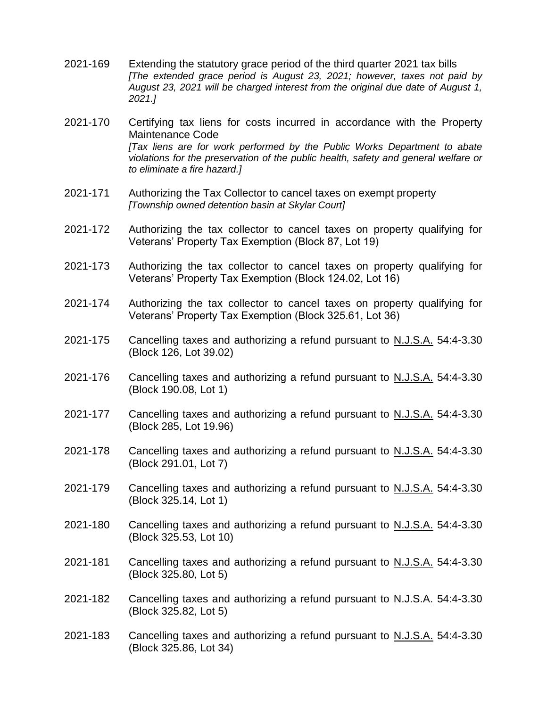- 2021-169 Extending the statutory grace period of the third quarter 2021 tax bills *[The extended grace period is August 23, 2021; however, taxes not paid by August 23, 2021 will be charged interest from the original due date of August 1, 2021.]*
- 2021-170 Certifying tax liens for costs incurred in accordance with the Property Maintenance Code *[Tax liens are for work performed by the Public Works Department to abate violations for the preservation of the public health, safety and general welfare or to eliminate a fire hazard.]*
- 2021-171 Authorizing the Tax Collector to cancel taxes on exempt property *[Township owned detention basin at Skylar Court]*
- 2021-172 Authorizing the tax collector to cancel taxes on property qualifying for Veterans' Property Tax Exemption (Block 87, Lot 19)
- 2021-173 Authorizing the tax collector to cancel taxes on property qualifying for Veterans' Property Tax Exemption (Block 124.02, Lot 16)
- 2021-174 Authorizing the tax collector to cancel taxes on property qualifying for Veterans' Property Tax Exemption (Block 325.61, Lot 36)
- 2021-175 Cancelling taxes and authorizing a refund pursuant to N.J.S.A. 54:4-3.30 (Block 126, Lot 39.02)
- 2021-176 Cancelling taxes and authorizing a refund pursuant to N.J.S.A. 54:4-3.30 (Block 190.08, Lot 1)
- 2021-177 Cancelling taxes and authorizing a refund pursuant to N.J.S.A. 54:4-3.30 (Block 285, Lot 19.96)
- 2021-178 Cancelling taxes and authorizing a refund pursuant to N.J.S.A. 54:4-3.30 (Block 291.01, Lot 7)
- 2021-179 Cancelling taxes and authorizing a refund pursuant to N.J.S.A. 54:4-3.30 (Block 325.14, Lot 1)
- 2021-180 Cancelling taxes and authorizing a refund pursuant to N.J.S.A. 54:4-3.30 (Block 325.53, Lot 10)
- 2021-181 Cancelling taxes and authorizing a refund pursuant to N.J.S.A. 54:4-3.30 (Block 325.80, Lot 5)
- 2021-182 Cancelling taxes and authorizing a refund pursuant to N.J.S.A. 54:4-3.30 (Block 325.82, Lot 5)
- 2021-183 Cancelling taxes and authorizing a refund pursuant to N.J.S.A. 54:4-3.30 (Block 325.86, Lot 34)